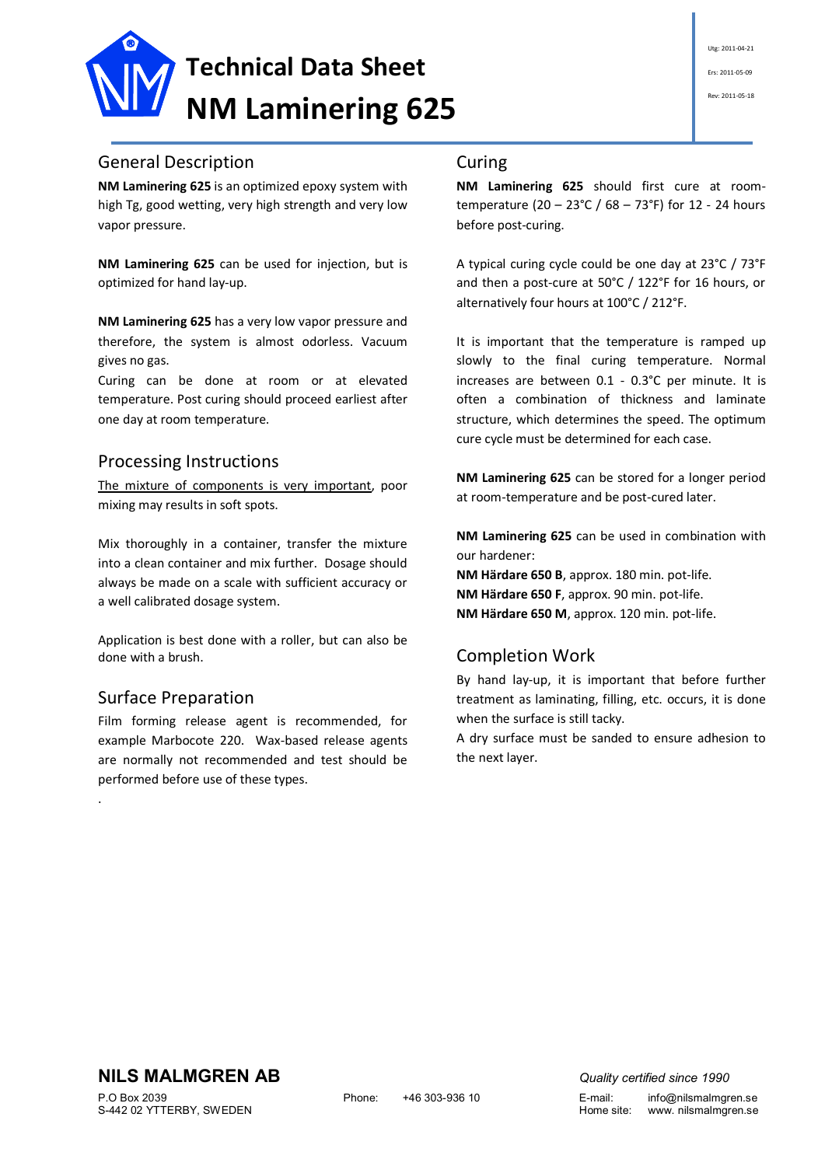

**NM Laminering 625** is an optimized epoxy system with high Tg, good wetting, very high strength and very low vapor pressure.

**NM Laminering 625** can be used for injection, but is optimized for hand lay-up.

**NM Laminering 625** has a very low vapor pressure and therefore, the system is almost odorless. Vacuum gives no gas.

Curing can be done at room or at elevated temperature. Post curing should proceed earliest after one day at room temperature.

### Processing Instructions

The mixture of components is very important, poor mixing may results in soft spots.

Mix thoroughly in a container, transfer the mixture into a clean container and mix further. Dosage should always be made on a scale with sufficient accuracy or a well calibrated dosage system.

Application is best done with a roller, but can also be done with a brush.

# Surface Preparation

.

Film forming release agent is recommended, for example Marbocote 220. Wax-based release agents are normally not recommended and test should be performed before use of these types.

### Curing

**NM Laminering 625** should first cure at roomtemperature (20 – 23°C / 68 – 73°F) for 12 - 24 hours before post-curing.

A typical curing cycle could be one day at 23°C / 73°F and then a post-cure at 50°C / 122°F for 16 hours, or alternatively four hours at 100°C / 212°F.

It is important that the temperature is ramped up slowly to the final curing temperature. Normal increases are between 0.1 - 0.3°C per minute. It is often a combination of thickness and laminate structure, which determines the speed. The optimum cure cycle must be determined for each case.

**NM Laminering 625** can be stored for a longer period at room-temperature and be post-cured later.

**NM Laminering 625** can be used in combination with our hardener:

**NM Härdare 650 B**, approx. 180 min. pot-life. **NM Härdare 650 F**, approx. 90 min. pot-life. **NM Härdare 650 M**, approx. 120 min. pot-life.

# Completion Work

By hand lay-up, it is important that before further treatment as laminating, filling, etc. occurs, it is done when the surface is still tacky.

A dry surface must be sanded to ensure adhesion to the next layer.

S-442 02 YTTERBY, SWEDEN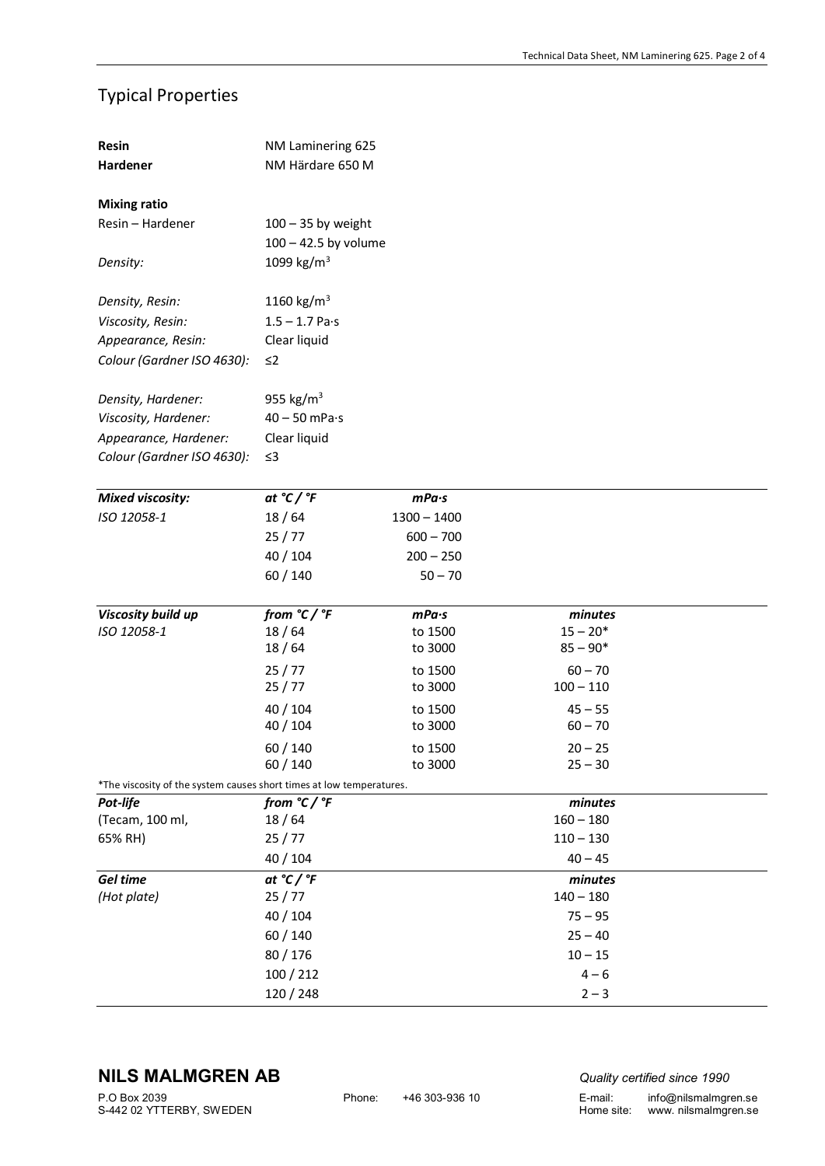# Typical Properties

| Resin                                                                | NM Laminering 625       |               |                       |  |  |  |  |  |
|----------------------------------------------------------------------|-------------------------|---------------|-----------------------|--|--|--|--|--|
| Hardener                                                             | NM Härdare 650 M        |               |                       |  |  |  |  |  |
| <b>Mixing ratio</b>                                                  |                         |               |                       |  |  |  |  |  |
| Resin - Hardener                                                     | $100 - 35$ by weight    |               |                       |  |  |  |  |  |
|                                                                      | $100 - 42.5$ by volume  |               |                       |  |  |  |  |  |
| Density:                                                             | 1099 kg/m <sup>3</sup>  |               |                       |  |  |  |  |  |
|                                                                      |                         |               |                       |  |  |  |  |  |
| Density, Resin:                                                      | 1160 $\text{kg/m}^3$    |               |                       |  |  |  |  |  |
| Viscosity, Resin:                                                    | $1.5 - 1.7$ Pa·s        |               |                       |  |  |  |  |  |
| Appearance, Resin:                                                   | Clear liquid            |               |                       |  |  |  |  |  |
| Colour (Gardner ISO 4630):                                           | $\leq$ 2                |               |                       |  |  |  |  |  |
|                                                                      |                         |               |                       |  |  |  |  |  |
| Density, Hardener:                                                   | 955 kg/m <sup>3</sup>   |               |                       |  |  |  |  |  |
| Viscosity, Hardener:                                                 | $40 - 50$ mPa $\cdot$ s |               |                       |  |  |  |  |  |
| Appearance, Hardener:                                                | Clear liquid            |               |                       |  |  |  |  |  |
| Colour (Gardner ISO 4630):                                           | $\leq$ 3                |               |                       |  |  |  |  |  |
|                                                                      |                         |               |                       |  |  |  |  |  |
| <b>Mixed viscosity:</b>                                              | at $°C$ / $°F$          | mPa·s         |                       |  |  |  |  |  |
| ISO 12058-1                                                          | 18/64                   | $1300 - 1400$ |                       |  |  |  |  |  |
|                                                                      | 25/77                   | $600 - 700$   |                       |  |  |  |  |  |
|                                                                      | 40 / 104                | $200 - 250$   |                       |  |  |  |  |  |
|                                                                      | 60 / 140                | $50 - 70$     |                       |  |  |  |  |  |
| Viscosity build up                                                   | from $°C$ / $°F$        | mPa·s         |                       |  |  |  |  |  |
| ISO 12058-1                                                          | 18/64                   | to 1500       | minutes<br>$15 - 20*$ |  |  |  |  |  |
|                                                                      | 18/64                   | to 3000       | $85 - 90*$            |  |  |  |  |  |
|                                                                      | 25/77                   | to 1500       | $60 - 70$             |  |  |  |  |  |
|                                                                      | 25/77                   | to 3000       | $100 - 110$           |  |  |  |  |  |
|                                                                      | 40 / 104                | to 1500       | $45 - 55$             |  |  |  |  |  |
|                                                                      | 40 / 104                | to 3000       | $60 - 70$             |  |  |  |  |  |
|                                                                      | 60 / 140                | to 1500       | $20 - 25$             |  |  |  |  |  |
|                                                                      | 60/140                  | to 3000       | $25 - 30$             |  |  |  |  |  |
| *The viscosity of the system causes short times at low temperatures. |                         |               |                       |  |  |  |  |  |
| Pot-life                                                             | from $°C$ / $°F$        |               | minutes               |  |  |  |  |  |
| (Tecam, 100 ml,                                                      |                         |               |                       |  |  |  |  |  |
|                                                                      | 18/64                   |               | $160 - 180$           |  |  |  |  |  |
| 65% RH)                                                              | 25/77                   |               | $110 - 130$           |  |  |  |  |  |
|                                                                      | 40 / 104                |               | $40 - 45$             |  |  |  |  |  |
| Gel time                                                             | at $°C$ / $°F$          |               | minutes               |  |  |  |  |  |
| (Hot plate)                                                          | 25/77                   |               | $140 - 180$           |  |  |  |  |  |
|                                                                      | 40 / 104                |               | $75 - 95$             |  |  |  |  |  |
|                                                                      | 60 / 140                |               | $25 - 40$             |  |  |  |  |  |
|                                                                      | 80 / 176                |               | $10 - 15$             |  |  |  |  |  |
|                                                                      | 100 / 212<br>120 / 248  |               | $4 - 6$<br>$2 - 3$    |  |  |  |  |  |

# **NILS MALMGREN AB** *Quality certified since 1990*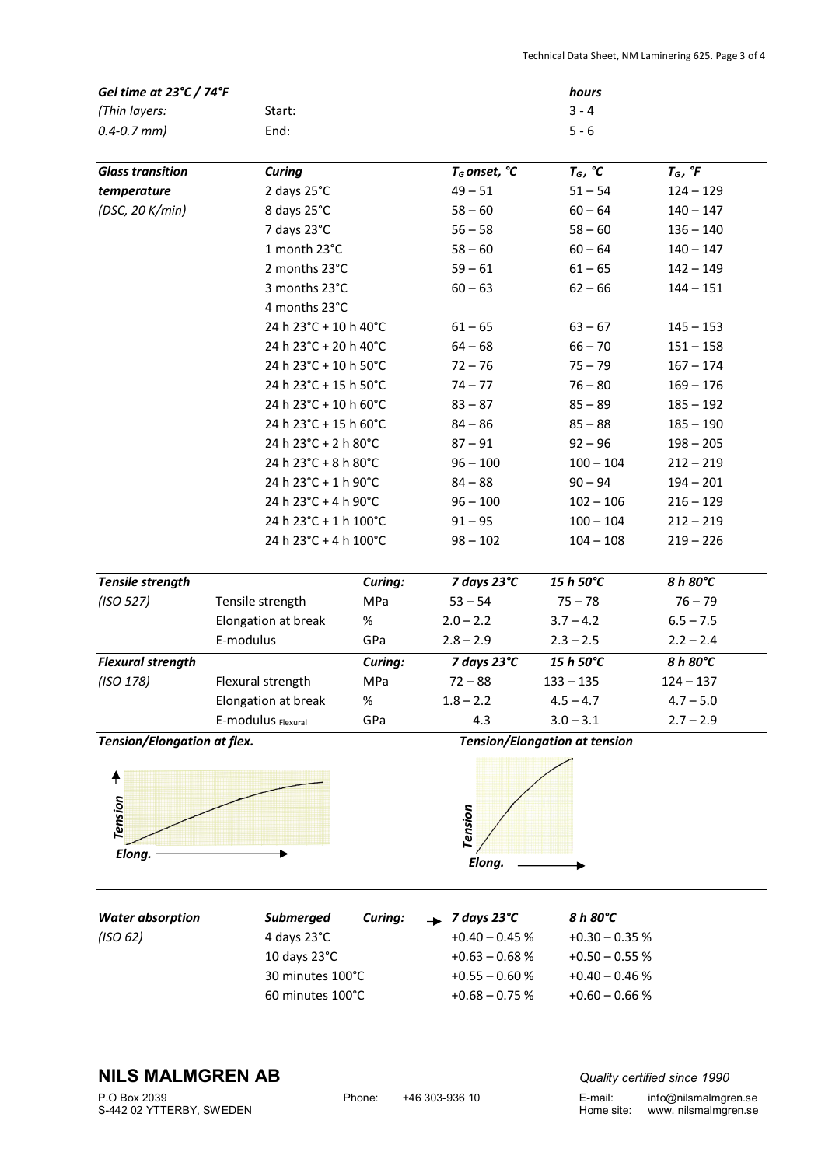| Gel time at 23°C / 74°F                                                                          |                       |         |                                      | hours            |                         |  |
|--------------------------------------------------------------------------------------------------|-----------------------|---------|--------------------------------------|------------------|-------------------------|--|
| (Thin layers:                                                                                    |                       | Start:  |                                      | $3 - 4$          |                         |  |
| $0.4 - 0.7$ mm)                                                                                  | End:                  |         |                                      | $5 - 6$          |                         |  |
| <b>Glass transition</b>                                                                          | <b>Curing</b>         |         | $T_G$ onset, °C                      | $T_G$ , $°C$     | $T_G$ , ${}^{\circ}\!F$ |  |
| temperature                                                                                      | 2 days 25°C           |         | $49 - 51$                            | $51 - 54$        | $124 - 129$             |  |
| (DSC, 20 K/min)                                                                                  | 8 days 25°C           |         | $58 - 60$                            | $60 - 64$        | $140 - 147$             |  |
|                                                                                                  | 7 days 23°C           |         | $56 - 58$                            | $58 - 60$        | $136 - 140$             |  |
|                                                                                                  | 1 month 23°C          |         | $58 - 60$                            | $60 - 64$        | $140 - 147$             |  |
|                                                                                                  | 2 months 23°C         |         | $59 - 61$                            | $61 - 65$        | $142 - 149$             |  |
| 3 months 23°C<br>4 months 23°C                                                                   |                       |         | $60 - 63$                            | $62 - 66$        | $144 - 151$             |  |
|                                                                                                  |                       |         |                                      |                  |                         |  |
|                                                                                                  | 24 h 23°C + 10 h 40°C |         | $61 - 65$                            | $63 - 67$        | $145 - 153$             |  |
| 24 h 23°C + 20 h 40°C<br>24 h 23°C + 10 h 50°C<br>24 h 23°C + 15 h 50°C<br>24 h 23°C + 10 h 60°C |                       |         | $64 - 68$                            | $66 - 70$        | $151 - 158$             |  |
|                                                                                                  |                       |         | $72 - 76$                            | $75 - 79$        | $167 - 174$             |  |
|                                                                                                  |                       |         | $74 - 77$                            | $76 - 80$        | $169 - 176$             |  |
|                                                                                                  |                       |         | $83 - 87$                            | $85 - 89$        | $185 - 192$             |  |
|                                                                                                  | 24 h 23°C + 15 h 60°C |         | $84 - 86$                            | $85 - 88$        | $185 - 190$             |  |
| 24 h 23°C + 2 h 80°C                                                                             |                       |         | $87 - 91$                            | $92 - 96$        | $198 - 205$             |  |
|                                                                                                  | 24 h 23°C + 8 h 80°C  |         | $96 - 100$                           | $100 - 104$      | $212 - 219$             |  |
| 24 h 23°C + 1 h 90°C                                                                             |                       |         | $84 - 88$                            | $90 - 94$        | $194 - 201$             |  |
|                                                                                                  | 24 h 23°C + 4 h 90°C  |         | $96 - 100$                           | $102 - 106$      | $216 - 129$             |  |
|                                                                                                  | 24 h 23°C + 1 h 100°C |         | $91 - 95$                            | $100 - 104$      | $212 - 219$             |  |
|                                                                                                  | 24 h 23°C + 4 h 100°C |         | $98 - 102$                           | $104 - 108$      | $219 - 226$             |  |
| Tensile strength                                                                                 |                       | Curing: | 7 days 23°C                          | 15 h 50°C        | 8 h 80°C                |  |
| (ISO 527)                                                                                        | Tensile strength      | MPa     | $53 - 54$                            | $75 - 78$        | $76 - 79$               |  |
|                                                                                                  | Elongation at break   | $\%$    | $2.0 - 2.2$                          | $3.7 - 4.2$      | $6.5 - 7.5$             |  |
|                                                                                                  | E-modulus             | GPa     | $2.8 - 2.9$                          | $2.3 - 2.5$      | $2.2 - 2.4$             |  |
| <b>Flexural strength</b>                                                                         |                       | Curing: | 7 days 23°C                          | 15 h 50°C        | 8 h 80°C                |  |
| (ISO 178)                                                                                        | Flexural strength     | MPa     | $72 - 88$                            | $133 - 135$      | $124 - 137$             |  |
|                                                                                                  | Elongation at break   | $\%$    | $1.8 - 2.2$                          | $4.5 - 4.7$      | $4.7 - 5.0$             |  |
|                                                                                                  | E-modulus Flexural    | GPa     | 4.3                                  | $3.0 - 3.1$      | $2.7 - 2.9$             |  |
| Tension/Elongation at flex.                                                                      |                       |         | <b>Tension/Elongation at tension</b> |                  |                         |  |
| ╇<br>Tension<br>Elong.                                                                           |                       |         | Tension<br>Elong.                    |                  |                         |  |
| <b>Water absorption</b>                                                                          | <b>Submerged</b>      | Curing: | 7 days 23°C                          | 8 h 80°C         |                         |  |
| (ISO 62)                                                                                         | 4 days 23°C           |         | $+0.40 - 0.45$ %                     | $+0.30 - 0.35 %$ |                         |  |
|                                                                                                  | 10 days 23°C          |         | $+0.63 - 0.68 %$                     | $+0.50 - 0.55 %$ |                         |  |
|                                                                                                  | 30 minutes 100°C      |         | $+0.55 - 0.60 %$                     | $+0.40 - 0.46 %$ |                         |  |

60 minutes  $100^{\circ}$ C  $+0.68 - 0.75$  %  $+0.60 - 0.66$  %